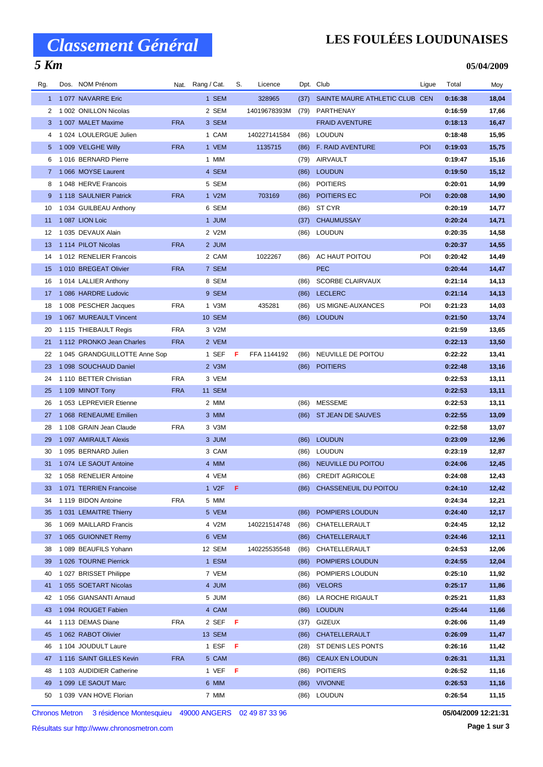### *5 Km*

## **LES FOULÉES LOUDUNAISES**

#### **05/04/2009**

| Rg. | Dos. NOM Prénom               |            | Nat. Rang / Cat. | S.  | Licence      |      | Dpt. Club                      | Ligue      | Total   | Moy   |
|-----|-------------------------------|------------|------------------|-----|--------------|------|--------------------------------|------------|---------|-------|
|     | 1 1 077 NAVARRE Eric          |            | 1 SEM            |     | 328965       | (37) | SAINTE MAURE ATHLETIC CLUB CEN |            | 0:16:38 | 18,04 |
| 2   | 1 002 ONILLON Nicolas         |            | 2 SEM            |     | 14019678393M | (79) | PARTHENAY                      |            | 0:16:59 | 17,66 |
| 3   | 1 007 MALET Maxime            | <b>FRA</b> | 3 SEM            |     |              |      | <b>FRAID AVENTURE</b>          |            | 0:18:13 | 16,47 |
| 4   | 1024 LOULERGUE Julien         |            | 1 CAM            |     | 140227141584 | (86) | LOUDUN                         |            | 0:18:48 | 15,95 |
| 5   | 1009 VELGHE Willy             | <b>FRA</b> | 1 VEM            |     | 1135715      | (86) | <b>F. RAID AVENTURE</b>        | POI        | 0:19:03 | 15,75 |
| 6   | 1016 BERNARD Pierre           |            | 1 MIM            |     |              | (79) | AIRVAULT                       |            | 0:19:47 | 15,16 |
|     | 7 1066 MOYSE Laurent          |            | 4 SEM            |     |              | (86) | <b>LOUDUN</b>                  |            | 0:19:50 | 15,12 |
| 8   | 1048 HERVE Francois           |            | 5 SEM            |     |              | (86) | <b>POITIERS</b>                |            | 0:20:01 | 14,99 |
| 9   | 1118 SAULNIER Patrick         | <b>FRA</b> | 1 V2M            |     | 703169       | (86) | POITIERS EC                    | <b>POI</b> | 0:20:08 | 14,90 |
| 10  | 1034 GUILBEAU Anthony         |            | 6 SEM            |     |              | (86) | ST CYR                         |            | 0:20:19 | 14,77 |
| 11  | 1 087 LION Loic               |            | 1 JUM            |     |              | (37) | <b>CHAUMUSSAY</b>              |            | 0:20:24 | 14,71 |
| 12  | 1 035 DEVAUX Alain            |            | 2 V2M            |     |              |      | (86) LOUDUN                    |            | 0:20:35 | 14,58 |
| 13  | 1 114 PILOT Nicolas           | <b>FRA</b> | 2 JUM            |     |              |      |                                |            | 0:20:37 | 14,55 |
| 14  | 1012 RENELIER Francois        |            | 2 CAM            |     | 1022267      | (86) | AC HAUT POITOU                 | POI        | 0:20:42 | 14,49 |
| 15  | 1010 BREGEAT Olivier          | <b>FRA</b> | 7 SEM            |     |              |      | <b>PEC</b>                     |            | 0:20:44 | 14,47 |
| 16  | 1014 LALLIER Anthony          |            | 8 SEM            |     |              | (86) | <b>SCORBE CLAIRVAUX</b>        |            | 0:21:14 | 14,13 |
| 17  | 1086 HARDRE Ludovic           |            | 9 SEM            |     |              | (86) | <b>LECLERC</b>                 |            | 0:21:14 | 14,13 |
|     |                               | <b>FRA</b> |                  |     |              |      | US MIGNE-AUXANCES              | POI        | 0:21:23 |       |
| 18  | 1 008 PESCHER Jacques         |            | 1 V3M            |     | 435281       | (86) |                                |            |         | 14,03 |
| 19  | 1 067 MUREAULT Vincent        |            | <b>10 SEM</b>    |     |              |      | (86) LOUDUN                    |            | 0:21:50 | 13,74 |
| 20  | 1115 THIEBAULT Regis          | <b>FRA</b> | 3 V2M            |     |              |      |                                |            | 0:21:59 | 13,65 |
| 21  | 1112 PRONKO Jean Charles      | <b>FRA</b> | 2 VEM            |     |              |      |                                |            | 0:22:13 | 13,50 |
| 22  | 1 045 GRANDGUILLOTTE Anne Sop |            | 1 SEF            | F.  | FFA 1144192  | (86) | NEUVILLE DE POITOU             |            | 0:22:22 | 13,41 |
| 23  | 1 098 SOUCHAUD Daniel         |            | 2 V3M            |     |              | (86) | <b>POITIERS</b>                |            | 0:22:48 | 13,16 |
| 24  | 1 110 BETTER Christian        | <b>FRA</b> | 3 VEM            |     |              |      |                                |            | 0:22:53 | 13,11 |
| 25  | 1 109 MINOT Tony              | <b>FRA</b> | 11 SEM           |     |              |      |                                |            | 0:22:53 | 13,11 |
| 26  | 1053 LEPREVIER Etienne        |            | 2 MIM            |     |              | (86) | <b>MESSEME</b>                 |            | 0:22:53 | 13,11 |
| 27  | 1068 RENEAUME Emilien         |            | 3 MIM            |     |              | (86) | ST JEAN DE SAUVES              |            | 0:22:55 | 13,09 |
| 28  | 1 108 GRAIN Jean Claude       | <b>FRA</b> | 3 V3M            |     |              |      |                                |            | 0:22:58 | 13,07 |
| 29  | 1 097 AMIRAULT Alexis         |            | 3 JUM            |     |              | (86) | <b>LOUDUN</b>                  |            | 0:23:09 | 12,96 |
| 30  | 1 095 BERNARD Julien          |            | 3 CAM            |     |              |      | (86) LOUDUN                    |            | 0:23:19 | 12,87 |
| 31  | 1 074 LE SAOUT Antoine        |            | 4 MIM            |     |              | (86) | NEUVILLE DU POITOU             |            | 0:24:06 | 12,45 |
| 32  | 1058 RENELIER Antoine         |            | 4 VEM            |     |              | (86) | <b>CREDIT AGRICOLE</b>         |            | 0:24:08 | 12,43 |
|     | 33 1 071 TERRIEN Francoise    |            | 1 V2F F          |     |              |      | (86) CHASSENEUIL DU POITOU     |            | 0:24:10 | 12,42 |
| 34  | 1 119 BIDON Antoine           | <b>FRA</b> | 5 MIM            |     |              |      |                                |            | 0:24:34 | 12,21 |
| 35  | 1031 LEMAITRE Thierry         |            | 5 VEM            |     |              | (86) | POMPIERS LOUDUN                |            | 0:24:40 | 12,17 |
| 36  | 1 069 MAILLARD Francis        |            | 4 V2M            |     | 140221514748 | (86) | CHATELLERAULT                  |            | 0:24:45 | 12,12 |
| 37  | 1 065 GUIONNET Remy           |            | 6 VEM            |     |              | (86) | CHATELLERAULT                  |            | 0:24:46 | 12,11 |
| 38  | 1 089 BEAUFILS Yohann         |            | 12 SEM           |     | 140225535548 | (86) | CHATELLERAULT                  |            | 0:24:53 | 12,06 |
| 39  | 1026 TOURNE Pierrick          |            | 1 ESM            |     |              | (86) | POMPIERS LOUDUN                |            | 0:24:55 | 12,04 |
| 40  | 1027 BRISSET Philippe         |            | 7 VEM            |     |              | (86) | POMPIERS LOUDUN                |            | 0:25:10 | 11,92 |
| 41  | 1055 SOETART Nicolas          |            | 4 JUM            |     |              | (86) | <b>VELORS</b>                  |            | 0:25:17 | 11,86 |
| 42  | 1 056 GIANSANTI Arnaud        |            | 5 JUM            |     |              | (86) | LA ROCHE RIGAULT               |            | 0:25:21 | 11,83 |
| 43  | 1 094 ROUGET Fabien           |            | 4 CAM            |     |              |      | (86) LOUDUN                    |            | 0:25:44 | 11,66 |
| 44  | 1 113 DEMAS Diane             | <b>FRA</b> | 2 SEF            | - F |              | (37) | <b>GIZEUX</b>                  |            | 0:26:06 | 11,49 |
| 45  | 1 062 RABOT Olivier           |            | 13 SEM           |     |              | (86) | CHATELLERAULT                  |            | 0:26:09 | 11,47 |
| 46  | 1 104 JOUDULT Laure           |            | 1 ESF            | F   |              | (28) | ST DENIS LES PONTS             |            | 0:26:16 | 11,42 |
| 47  | 1 116 SAINT GILLES Kevin      | <b>FRA</b> | 5 CAM            |     |              | (86) | <b>CEAUX EN LOUDUN</b>         |            | 0:26:31 | 11,31 |
| 48  | 1 103 AUDIDIER Catherine      |            | 1 VEF            | F   |              | (86) | <b>POITIERS</b>                |            | 0:26:52 | 11,16 |
| 49  | 1 099 LE SAOUT Marc           |            | 6 MIM            |     |              | (86) | <b>VIVONNE</b>                 |            | 0:26:53 | 11,16 |
| 50  | 1 039 VAN HOVE Florian        |            | 7 MIM            |     |              | (86) | <b>LOUDUN</b>                  |            | 0:26:54 | 11,15 |

Chronos Metron 3 résidence Montesquieu 49000 ANGERS 02 49 87 33 96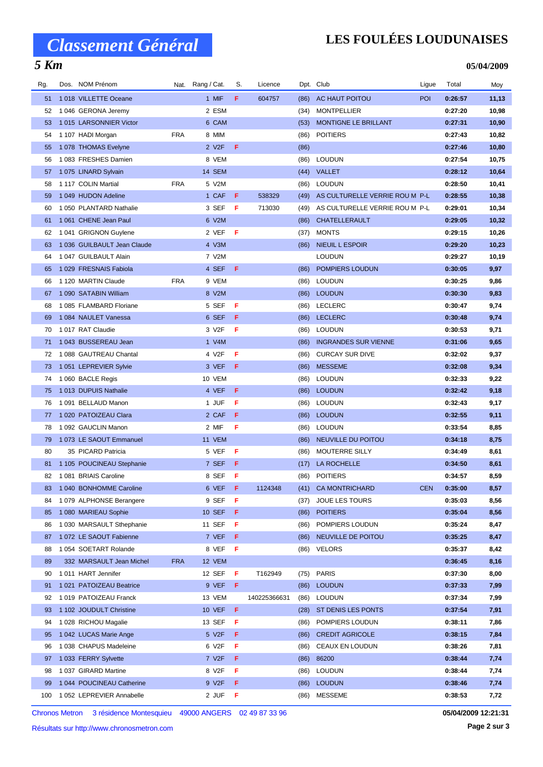## *5 Km*

## **LES FOULÉES LOUDUNAISES**

**05/04/2009**

| Rg. | Dos. NOM Prénom             |            | Nat. Rang / Cat.   | S. | Licence      |      | Dpt. Club                      | Ligue      | Total   | Moy   |
|-----|-----------------------------|------------|--------------------|----|--------------|------|--------------------------------|------------|---------|-------|
| 51  | 1018 VILLETTE Oceane        |            | 1 MIF              | F. | 604757       | (86) | AC HAUT POITOU                 | POI        | 0:26:57 | 11,13 |
| 52  | 1046 GERONA Jeremy          |            | 2 ESM              |    |              | (34) | <b>MONTPELLIER</b>             |            | 0:27:20 | 10,98 |
| 53  | 1015 LARSONNIER Victor      |            | 6 CAM              |    |              | (53) | MONTIGNE LE BRILLANT           |            | 0:27:31 | 10,90 |
| 54  | 1 107 HADI Morgan           | <b>FRA</b> | 8 MIM              |    |              | (86) | <b>POITIERS</b>                |            | 0:27:43 | 10,82 |
| 55  | 1078 THOMAS Evelyne         |            | 2 V2F              | F  |              | (86) |                                |            | 0:27:46 | 10,80 |
| 56  | 1083 FRESHES Damien         |            | 8 VEM              |    |              | (86) | <b>LOUDUN</b>                  |            | 0:27:54 | 10,75 |
| 57  | 1075 LINARD Sylvain         |            | 14 SEM             |    |              |      | (44) VALLET                    |            | 0:28:12 | 10,64 |
| 58  | 1 117 COLIN Martial         | <b>FRA</b> | 5 V2M              |    |              | (86) | <b>LOUDUN</b>                  |            | 0:28:50 | 10,41 |
| 59  | 1 049 HUDON Adeline         |            | 1 CAF              | F  | 538329       | (49) | AS CULTURELLE VERRIE ROU M P-L |            | 0:28:55 | 10,38 |
| 60  | 1050 PLANTARD Nathalie      |            | 3 SEF              | F  | 713030       | (49) | AS CULTURELLE VERRIE ROU M P-L |            | 0:29:01 | 10,34 |
| 61  | 1061 CHENE Jean Paul        |            | 6 V2M              |    |              | (86) | CHATELLERAULT                  |            | 0:29:05 | 10,32 |
| 62  | 1041 GRIGNON Guylene        |            | 2 VEF              | F  |              | (37) | <b>MONTS</b>                   |            | 0:29:15 | 10,26 |
| 63  | 1 036 GUILBAULT Jean Claude |            | 4 V3M              |    |              | (86) | <b>NIEUIL L ESPOIR</b>         |            | 0:29:20 | 10,23 |
| 64  | 1047 GUILBAULT Alain        |            | 7 V2M              |    |              |      | <b>LOUDUN</b>                  |            | 0:29:27 | 10,19 |
| 65  | 1029 FRESNAIS Fabiola       |            | 4 SEF              | F  |              | (86) | POMPIERS LOUDUN                |            | 0:30:05 | 9,97  |
| 66  | 1 120 MARTIN Claude         | <b>FRA</b> | 9 VEM              |    |              | (86) | <b>LOUDUN</b>                  |            | 0:30:25 | 9,86  |
| 67  | 1 090 SATABIN William       |            | 8 V2M              |    |              | (86) | <b>LOUDUN</b>                  |            | 0:30:30 | 9,83  |
| 68  | 1085 FLAMBARD Floriane      |            | 5 SEF              | F  |              | (86) | <b>LECLERC</b>                 |            | 0:30:47 | 9,74  |
| 69  | 1084 NAULET Vanessa         |            | 6 SEF              | F  |              | (86) | <b>LECLERC</b>                 |            | 0:30:48 | 9,74  |
| 70  | 1017 RAT Claudie            |            | 3 V2F              | F  |              | (86) | <b>LOUDUN</b>                  |            | 0:30:53 | 9,71  |
| 71  | 1043 BUSSEREAU Jean         |            | 1 V4M              |    |              | (86) | <b>INGRANDES SUR VIENNE</b>    |            | 0:31:06 | 9,65  |
| 72  | 1088 GAUTREAU Chantal       |            | 4 V2F              | F  |              | (86) | <b>CURCAY SUR DIVE</b>         |            | 0:32:02 | 9,37  |
| 73  | 1 051 LEPREVIER Sylvie      |            | 3 VEF              | F  |              | (86) | <b>MESSEME</b>                 |            | 0:32:08 | 9,34  |
| 74  | 1 060 BACLE Regis           |            | 10 VEM             |    |              | (86) | <b>LOUDUN</b>                  |            | 0:32:33 | 9,22  |
| 75  | 1013 DUPUIS Nathalie        |            | 4 VEF              | F  |              | (86) | <b>LOUDUN</b>                  |            | 0:32:42 | 9,18  |
| 76  | 1 091 BELLAUD Manon         |            | 1 JUF              | F  |              | (86) | <b>LOUDUN</b>                  |            | 0:32:43 | 9,17  |
| 77  | 1 020 PATOIZEAU Clara       |            | 2 CAF              | F  |              | (86) | <b>LOUDUN</b>                  |            | 0:32:55 | 9,11  |
| 78  | 1 092 GAUCLIN Manon         |            | 2 MIF              | F  |              | (86) | <b>LOUDUN</b>                  |            | 0:33:54 | 8,85  |
| 79  | 1073 LE SAOUT Emmanuel      |            | 11 VEM             |    |              | (86) | NEUVILLE DU POITOU             |            | 0:34:18 | 8,75  |
| 80  | 35 PICARD Patricia          |            | 5 VEF              | F  |              | (86) | MOUTERRE SILLY                 |            | 0:34:49 | 8,61  |
| 81  | 1 105 POUCINEAU Stephanie   |            | 7 SEF              | F  |              | (17) | LA ROCHELLE                    |            | 0:34:50 | 8,61  |
| 82  | 1081 BRIAIS Caroline        |            | 8 SEF              | F  |              | (86) | <b>POITIERS</b>                |            | 0:34:57 | 8,59  |
|     | 83 1 040 BONHOMME Caroline  |            | 6 VEF F            |    | 1124348      |      | (41) CA MONTRICHARD            | <b>CEN</b> | 0:35:00 | 8,57  |
| 84  | 1079 ALPHONSE Berangere     |            | 9 SEF              | F  |              | (37) | JOUE LES TOURS                 |            | 0:35:03 | 8,56  |
| 85  | 1 080 MARIEAU Sophie        |            | <b>10 SEF</b>      | F. |              | (86) | <b>POITIERS</b>                |            | 0:35:04 | 8,56  |
| 86  | 1030 MARSAULT Sthephanie    |            | 11 SEF             | F  |              | (86) | POMPIERS LOUDUN                |            | 0:35:24 | 8,47  |
| 87  | 1 072 LE SAOUT Fabienne     |            | 7 VEF              | F  |              | (86) | NEUVILLE DE POITOU             |            | 0:35:25 | 8,47  |
| 88  | 1054 SOETART Rolande        |            | 8 VEF              | F  |              |      | (86) VELORS                    |            | 0:35:37 | 8,42  |
| 89  | 332 MARSAULT Jean Michel    | <b>FRA</b> | 12 VEM             |    |              |      |                                |            | 0:36:45 | 8,16  |
| 90  | 1011 HART Jennifer          |            | 12 SEF             | F  | T162949      | (75) | <b>PARIS</b>                   |            | 0:37:30 | 8,00  |
| 91  | 1 021 PATOIZEAU Beatrice    |            | 9 VEF              | F  |              | (86) | <b>LOUDUN</b>                  |            | 0:37:33 | 7,99  |
| 92  | 1019 PATOIZEAU Franck       |            | 13 VEM             |    | 140225366631 | (86) | <b>LOUDUN</b>                  |            | 0:37:34 | 7,99  |
| 93  | 1 102 JOUDULT Christine     |            | <b>10 VEF</b>      | F  |              | (28) | ST DENIS LES PONTS             |            | 0:37:54 | 7,91  |
| 94  | 1 028 RICHOU Magalie        |            | 13 SEF             | F  |              | (86) | POMPIERS LOUDUN                |            | 0:38:11 | 7,86  |
| 95  | 1 042 LUCAS Marie Ange      |            | 5 V2F              | F  |              | (86) | <b>CREDIT AGRICOLE</b>         |            | 0:38:15 | 7,84  |
| 96  | 1038 CHAPUS Madeleine       |            | 6 V2F              | F  |              | (86) | CEAUX EN LOUDUN                |            | 0:38:26 | 7,81  |
| 97  | 1033 FERRY Sylvette         |            | 7 V <sub>2</sub> F | F  |              | (86) | 86200                          |            | 0:38:44 | 7,74  |
| 98  | 1037 GIRARD Martine         |            | 8 V2F              | F  |              | (86) | <b>LOUDUN</b>                  |            | 0:38:44 | 7,74  |
| 99  | 1 044 POUCINEAU Catherine   |            | 9 V2F              | F  |              | (86) | <b>LOUDUN</b>                  |            | 0:38:46 | 7,74  |
| 100 | 1 052 LEPREVIER Annabelle   |            | 2 JUF              | F  |              | (86) | <b>MESSEME</b>                 |            | 0:38:53 | 7,72  |

Chronos Metron 3 résidence Montesquieu 49000 ANGERS 02 49 87 33 96